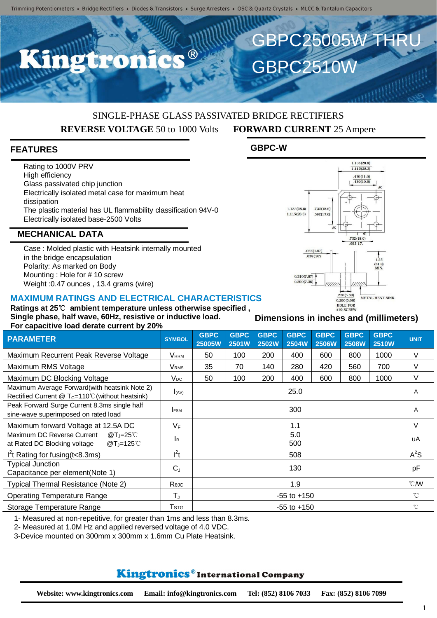# SINGLE-PHASE GLASS PASSIVATED BRIDGE RECTIFIERS **REVERSE VOLTAGE** 50 to 1000 Volts **FORWARD CURRENT** 25 Ampere

## **FEATURES**

Rating to 1000V PRV High efficiency Glass passivated chip junction Electrically isolated metal case for maximum heat dissipation The plastic material has UL flammability classification 94V-0 Electrically isolated base-2500 Volts

### **MECHANICAL DATA**

Case : Molded plastic with Heatsink internally mounted in the bridge encapsulation Polarity: As marked on Body Mounting : Hole for # 10 screw Weight :0.47 ounces , 13.4 grams (wire)

#### **MAXIMUM RATINGS AND ELECTRICAL CHARACTERISTICS**

**Ratings at 25**℃ **ambient temperature unless otherwise specified , Single phase, half wave, 60Hz, resistive or inductive load. For capacitive load derate current by 20%**

| <u>For capacitive idad actate carreilled zo to</u>                                                            |                         |                       |                      |                             |                             |                             |                             |                             |               |
|---------------------------------------------------------------------------------------------------------------|-------------------------|-----------------------|----------------------|-----------------------------|-----------------------------|-----------------------------|-----------------------------|-----------------------------|---------------|
| <b>PARAMETER</b>                                                                                              | <b>SYMBOL</b>           | <b>GBPC</b><br>25005W | <b>GBPC</b><br>2501W | <b>GBPC</b><br><b>2502W</b> | <b>GBPC</b><br><b>2504W</b> | <b>GBPC</b><br><b>2506W</b> | <b>GBPC</b><br><b>2508W</b> | <b>GBPC</b><br><b>2510W</b> | <b>UNIT</b>   |
| Maximum Recurrent Peak Reverse Voltage                                                                        | Vrrm                    | 50                    | 100                  | 200                         | 400                         | 600                         | 800                         | 1000                        | V             |
| Maximum RMS Voltage                                                                                           | <b>V</b> <sub>RMS</sub> | 35                    | 70                   | 140                         | 280                         | 420                         | 560                         | 700                         | V             |
| Maximum DC Blocking Voltage                                                                                   | Vpc                     | 50                    | 100                  | 200                         | 400                         | 600                         | 800                         | 1000                        | V             |
| Maximum Average Forward(with heatsink Note 2)<br>Rectified Current @ T <sub>C</sub> =110°C (without heatsink) | I(AV)                   | 25.0                  |                      |                             |                             |                             |                             |                             | A             |
| Peak Forward Surge Current 8.3ms single half<br>sine-wave superimposed on rated load                          | <b>IFSM</b>             | 300                   |                      |                             |                             |                             |                             |                             | Α             |
| Maximum forward Voltage at 12.5A DC                                                                           | $V_F$                   | 1.1                   |                      |                             |                             |                             |                             |                             | V             |
| Maximum DC Reverse Current<br>@T_ $=25^{\circ}$ C<br>at Rated DC Blocking voltage<br>$@T_J=125^\circ C$       | <b>I</b> R              | 5.0<br>500            |                      |                             |                             |                             |                             |                             | uA            |
| I <sup>2</sup> t Rating for fusing $(t<8.3ms)$                                                                | $I^2t$                  | 508                   |                      |                             |                             |                             |                             |                             | $A^2S$        |
| <b>Typical Junction</b><br>Capacitance per element(Note 1)                                                    | $C_{J}$                 | 130                   |                      |                             |                             |                             |                             |                             | pF            |
| Typical Thermal Resistance (Note 2)                                                                           | Reuc                    | 1.9                   |                      |                             |                             |                             |                             |                             | $^{\circ}$ CM |
| <b>Operating Temperature Range</b>                                                                            | $T_{\rm J}$             | $-55$ to $+150$       |                      |                             |                             |                             |                             |                             | $^{\circ}$ C  |
| Storage Temperature Range                                                                                     | $\mathsf{T}$ stg        | $-55$ to $+150$       |                      |                             |                             |                             |                             |                             | $^{\circ}$ C  |

1- Measured at non-repetitive, for greater than 1ms and less than 8.3ms.

2- Measured at 1.0M Hz and applied reversed voltage of 4.0 VDC.

3-Device mounted on 300mm x 300mm x 1.6mm Cu Plate Heatsink.

## **Kingtronics**®International Company

**GBPC-W**



GBPC25005W THRL

GBPC2510W